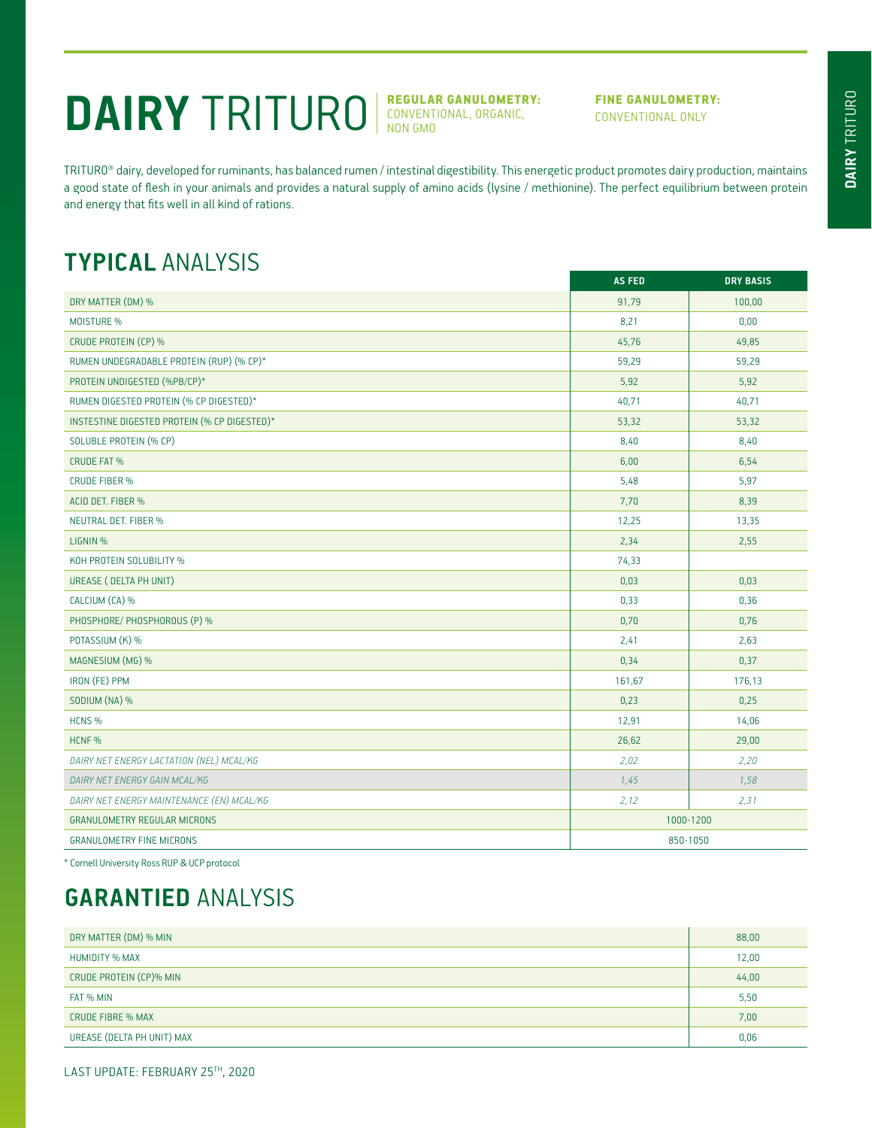# DAIRY TRITURO **REGULAR GANULOMETRY:**

CONVENTIONAL, ORGANIC, NON GMO

#### FINE GANULOMETRY: CONVENTIONAL ONLY

TRITURO® dairy, developed for ruminants, has balanced rumen / intestinal digestibility. This energetic product promotes dairy production, maintains a good state of flesh in your animals and provides a natural supply of amino acids (lysine / methionine). The perfect equilibrium between protein and energy that fits well in all kind of rations.

### **TYPICAL** ANALYSIS

|                                              | <b>AS FED</b> | <b>DRY BASIS</b> |
|----------------------------------------------|---------------|------------------|
| DRY MATTER (DM) %                            | 91,79         | 100,00           |
| <b>MOISTURE %</b>                            | 8,21          | 0,00             |
| CRUDE PROTEIN (CP) %                         | 45,76         | 49,85            |
| RUMEN UNDEGRADABLE PROTEIN (RUP) (% CP)*     | 59,29         | 59,29            |
| PROTEIN UNDIGESTED (%PB/CP)*                 | 5,92          | 5,92             |
| RUMEN DIGESTED PROTEIN (% CP DIGESTED)*      | 40,71         | 40,71            |
| INSTESTINE DIGESTED PROTEIN (% CP DIGESTED)* | 53,32         | 53,32            |
| SOLUBLE PROTEIN (% CP)                       | 8,40          | 8,40             |
| <b>CRUDE FAT %</b>                           | 6,00          | 6,54             |
| <b>CRUDE FIBER %</b>                         | 5,48          | 5,97             |
| ACID DET. FIBER %                            | 7,70          | 8,39             |
| <b>NEUTRAL DET. FIBER %</b>                  | 12,25         | 13,35            |
| LIGNIN %                                     | 2,34          | 2,55             |
| KOH PROTEIN SOLUBILITY %                     | 74,33         |                  |
| UREASE ( DELTA PH UNIT)                      | 0,03          | 0,03             |
| CALCIUM (CA) %                               | 0,33          | 0,36             |
| PHOSPHORE/ PHOSPHOROUS (P) %                 | 0,70          | 0,76             |
| POTASSIUM (K) %                              | 2,41          | 2,63             |
| MAGNESIUM (MG) %                             | 0,34          | 0,37             |
| IRON (FE) PPM                                | 161,67        | 176,13           |
| SODIUM (NA) %                                | 0,23          | 0,25             |
| HCNS %                                       | 12,91         | 14,06            |
| HCNF %                                       | 26,62         | 29,00            |
| DAIRY NET ENERGY LACTATION (NEL) MCAL/KG     | 2,02          | 2,20             |
| DAIRY NET ENERGY GAIN MCAL/KG                | 1,45          | 1,58             |
| DAIRY NET ENERGY MAINTENANCE (EN) MCAL/KG    | 2,12          | 2,31             |
| <b>GRANULOMETRY REGULAR MICRONS</b>          | 1000-1200     |                  |
| <b>GRANULOMETRY FINE MICRONS</b>             | 850-1050      |                  |

\* Cornell University Ross RUP & UCP protocol

## **GARANTIED** ANALYSIS

| DRY MATTER (DM) % MIN      | 88,00 |
|----------------------------|-------|
| <b>HUMIDITY % MAX</b>      | 12,00 |
| CRUDE PROTEIN (CP)% MIN    | 44,00 |
| FAT % MIN                  | 5,50  |
| <b>CRUDE FIBRE % MAX</b>   | 7,00  |
| UREASE (DELTA PH UNIT) MAX | 0,06  |